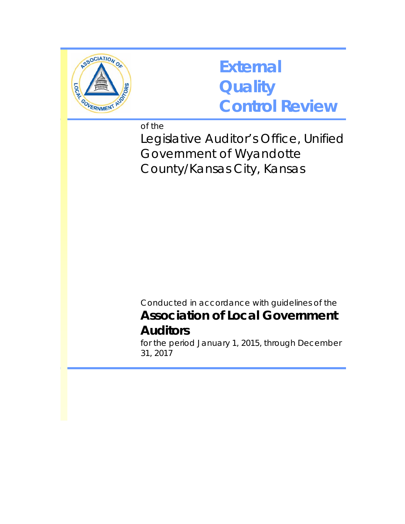

## **External Quality Control Review**

of the

Legislative Auditor's Office, Unified Government of Wyandotte County/Kansas City, Kansas

Conducted in accordance with guidelines of the **Association of Local Government Auditors** 

for the period January 1, 2015, through December 31, 2017